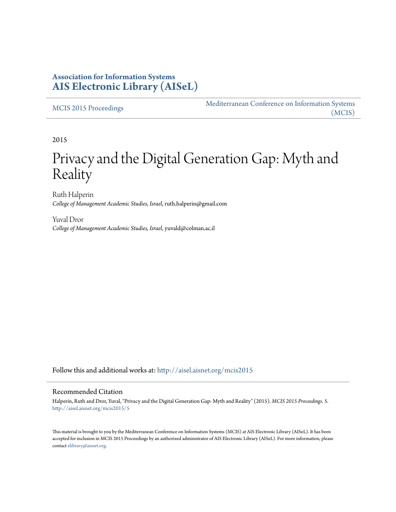### **Association for Information Systems [AIS Electronic Library \(AISeL\)](http://aisel.aisnet.org?utm_source=aisel.aisnet.org%2Fmcis2015%2F5&utm_medium=PDF&utm_campaign=PDFCoverPages)**

#### [MCIS 2015 Proceedings](http://aisel.aisnet.org/mcis2015?utm_source=aisel.aisnet.org%2Fmcis2015%2F5&utm_medium=PDF&utm_campaign=PDFCoverPages)

[Mediterranean Conference on Information Systems](http://aisel.aisnet.org/mcis?utm_source=aisel.aisnet.org%2Fmcis2015%2F5&utm_medium=PDF&utm_campaign=PDFCoverPages) [\(MCIS\)](http://aisel.aisnet.org/mcis?utm_source=aisel.aisnet.org%2Fmcis2015%2F5&utm_medium=PDF&utm_campaign=PDFCoverPages)

2015

# Privacy and the Digital Generation Gap: Myth and **Reality**

Ruth Halperin *College of Management Academic Studies, Israel*, ruth.halperin@gmail.com

Yuval Dror *College of Management Academic Studies, Israel*, yuvald@colman.ac.il

Follow this and additional works at: [http://aisel.aisnet.org/mcis2015](http://aisel.aisnet.org/mcis2015?utm_source=aisel.aisnet.org%2Fmcis2015%2F5&utm_medium=PDF&utm_campaign=PDFCoverPages)

#### Recommended Citation

Halperin, Ruth and Dror, Yuval, "Privacy and the Digital Generation Gap: Myth and Reality" (2015). *MCIS 2015 Proceedings*. 5. [http://aisel.aisnet.org/mcis2015/5](http://aisel.aisnet.org/mcis2015/5?utm_source=aisel.aisnet.org%2Fmcis2015%2F5&utm_medium=PDF&utm_campaign=PDFCoverPages)

This material is brought to you by the Mediterranean Conference on Information Systems (MCIS) at AIS Electronic Library (AISeL). It has been accepted for inclusion in MCIS 2015 Proceedings by an authorized administrator of AIS Electronic Library (AISeL). For more information, please contact [elibrary@aisnet.org.](mailto:elibrary@aisnet.org%3E)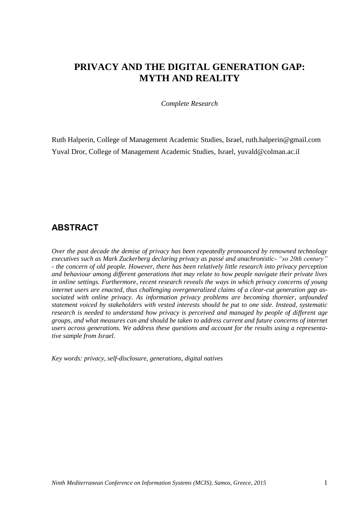# **PRIVACY AND THE DIGITAL GENERATION GAP: MYTH AND REALITY**

*Complete Research*

Ruth Halperin, College of Management Academic Studies, Israel, ruth.halperin@gmail.com Yuval Dror, College of Management Academic Studies, Israel, [yuvald@colman.ac.il](mailto:yuvald@colman.ac.il)

### **ABSTRACT**

*Over the past decade the demise of privacy has been repeatedly pronounced by renowned technology executives such as Mark Zuckerberg declaring privacy as passé and anachronistic- "so 20th century" - the concern of old people. However, there has been relatively little research into privacy perception and behaviour among different generations that may relate to how people navigate their private lives in online settings. Furthermore, recent research reveals the ways in which privacy concerns of young internet users are enacted, thus challenging overgeneralized claims of a clear-cut generation gap associated with online privacy. As information privacy problems are becoming thornier, unfounded statement voiced by stakeholders with vested interests should be put to one side. Instead, systematic research is needed to understand how privacy is perceived and managed by people of different age groups, and what measures can and should be taken to address current and future concerns of internet users across generations. We address these questions and account for the results using a representative sample from Israel.* 

*Key words: privacy, self-disclosure, generations, digital natives*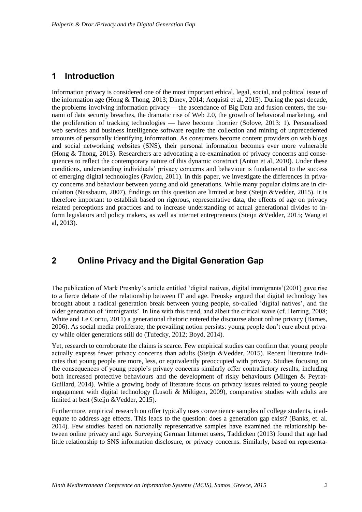### **1 Introduction**

Information privacy is considered one of the most important ethical, legal, social, and political issue of the information age (Hong & Thong, 2013; Dinev, 2014; Acquisti et al, 2015). During the past decade, the problems involving information privacy— the ascendance of Big Data and fusion centers, the tsunami of data security breaches, the dramatic rise of Web 2.0, the growth of behavioral marketing, and the proliferation of tracking technologies — have become thornier (Solove, 2013: 1). Personalized web services and business intelligence software require the collection and mining of unprecedented amounts of personally identifying information. As consumers become content providers on web blogs and social networking websites (SNS), their personal information becomes ever more vulnerable (Hong & Thong, 2013). Researchers are advocating a re-examination of privacy concerns and consequences to reflect the contemporary nature of this dynamic construct (Anton et al, 2010). Under these conditions, understanding individuals' privacy concerns and behaviour is fundamental to the success of emerging digital technologies (Pavlou, 2011). In this paper, we investigate the differences in privacy concerns and behaviour between young and old generations. While many popular claims are in circulation (Nussbaum, 2007), findings on this question are limited at best (Steijn &Vedder, 2015). It is therefore important to establish based on rigorous, representative data, the effects of age on privacy related perceptions and practices and to increase understanding of actual generational divides to inform legislators and policy makers, as well as internet entrepreneurs (Steijn &Vedder, 2015; Wang et al, 2013).

### **2 Online Privacy and the Digital Generation Gap**

The publication of Mark Presnky's article entitled 'digital natives, digital immigrants'(2001) gave rise to a fierce debate of the relationship between IT and age. Prensky argued that digital technology has brought about a radical generation break between young people, so-called 'digital natives', and the older generation of 'immigrants'. In line with this trend, and albeit the critical wave (cf. Herring, 2008; White and Le Cornu, 2011) a generational rhetoric entered the discourse about online privacy (Barnes, 2006). As social media proliferate, the prevailing notion persists: young people don't care about privacy while older generations still do (Tufecky, 2012; Boyd, 2014).

Yet, research to corroborate the claims is scarce. Few empirical studies can confirm that young people actually express fewer privacy concerns than adults (Steijn &Vedder, 2015). Recent literature indicates that young people are more, less, or equivalently preoccupied with privacy. Studies focusing on the consequences of young people's privacy concerns similarly offer contradictory results, including both increased protective behaviours and the development of risky behaviours (Miltgen & Peyrat-Guillard, 2014). While a growing body of literature focus on privacy issues related to young people engagement with digital technology (Lusoli & Miltigen, 2009), comparative studies with adults are limited at best (Steijn &Vedder, 2015).

Furthermore, empirical research on offer typically uses convenience samples of college students, inadequate to address age effects. This leads to the question: does a generation gap exist? (Banks, et. al. 2014). Few studies based on nationally representative samples have examined the relationship between online privacy and age. Surveying German Internet users, Taddicken (2013) found that age had little relationship to SNS information disclosure, or privacy concerns. Similarly, based on representa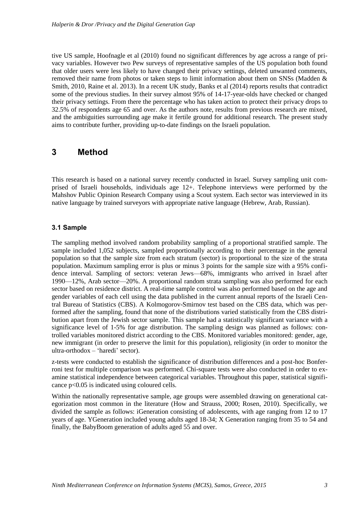tive US sample, Hoofnagle et al (2010) found no significant differences by age across a range of privacy variables. However two Pew surveys of representative samples of the US population both found that older users were less likely to have changed their privacy settings, deleted unwanted comments, removed their name from photos or taken steps to limit information about them on SNSs (Madden & Smith, 2010, Raine et al. 2013). In a recent UK study, Banks et al (2014) reports results that contradict some of the previous studies. In their survey almost 95% of 14-17-year-olds have checked or changed their privacy settings. From there the percentage who has taken action to protect their privacy drops to 32.5% of respondents age 65 and over. As the authors note, results from previous research are mixed, and the ambiguities surrounding age make it fertile ground for additional research. The present study aims to contribute further, providing up-to-date findings on the Israeli population.

### **3 Method**

This research is based on a national survey recently conducted in Israel. Survey sampling unit comprised of Israeli households, individuals age 12+. Telephone interviews were performed by the Mahshov Public Opinion Research Company using a Scout system. Each sector was interviewed in its native language by trained surveyors with appropriate native language (Hebrew, Arab, Russian).

#### **3.1 Sample**

The sampling method involved random probability sampling of a proportional stratified sample. The sample included 1,052 subjects, sampled proportionally according to their percentage in the general population so that the sample size from each stratum (sector) is proportional to the size of the strata population. Maximum sampling error is plus or minus 3 points for the sample size with a 95% confidence interval. Sampling of sectors: veteran Jews—68%, immigrants who arrived in Israel after 1990—12%, Arab sector—20%. A proportional random strata sampling was also performed for each sector based on residence district. A real-time sample control was also performed based on the age and gender variables of each cell using the data published in the current annual reports of the Israeli Central Bureau of Statistics (CBS). A Kolmogorov-Smirnov test based on the CBS data, which was performed after the sampling, found that none of the distributions varied statistically from the CBS distribution apart from the Jewish sector sample. This sample had a statistically significant variance with a significance level of 1-5% for age distribution. The sampling design was planned as follows: controlled variables monitored district according to the CBS. Monitored variables monitored: gender, age, new immigrant (in order to preserve the limit for this population), religiosity (in order to monitor the ultra-orthodox – 'haredi' sector).

z-tests were conducted to establish the significance of distribution differences and a post-hoc Bonferroni test for multiple comparison was performed. Chi-square tests were also conducted in order to examine statistical independence between categorical variables. Throughout this paper, statistical significance p<0.05 is indicated using coloured cells.

Within the nationally representative sample, age groups were assembled drawing on generational categorization most common in the literature (How and Strauss, 2000; Rosen, 2010). Specifically, we divided the sample as follows: iGeneration consisting of adolescents, with age ranging from 12 to 17 years of age. YGeneration included young adults aged 18-34; X Generation ranging from 35 to 54 and finally, the BabyBoom generation of adults aged 55 and over.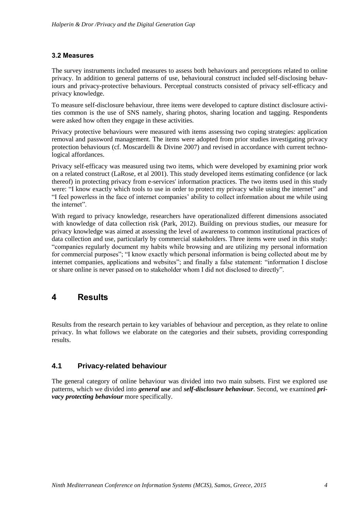#### **3.2 Measures**

The survey instruments included measures to assess both behaviours and perceptions related to online privacy. In addition to general patterns of use, behavioural construct included self-disclosing behaviours and privacy-protective behaviours. Perceptual constructs consisted of privacy self-efficacy and privacy knowledge.

To measure self-disclosure behaviour, three items were developed to capture distinct disclosure activities common is the use of SNS namely, sharing photos, sharing location and tagging. Respondents were asked how often they engage in these activities.

Privacy protective behaviours were measured with items assessing two coping strategies: application removal and password management. The items were adopted from prior studies investigating privacy protection behaviours (cf. Moscardelli & Divine 2007) and revised in accordance with current technological affordances.

Privacy self-efficacy was measured using two items, which were developed by examining prior work on a related construct (LaRose, et al 2001). This study developed items estimating confidence (or lack thereof) in protecting privacy from e-services' information practices. The two items used in this study were: "I know exactly which tools to use in order to protect my privacy while using the internet" and "I feel powerless in the face of internet companies' ability to collect information about me while using the internet".

With regard to privacy knowledge, researchers have operationalized different dimensions associated with knowledge of data collection risk (Park, 2012). Building on previous studies, our measure for privacy knowledge was aimed at assessing the level of awareness to common institutional practices of data collection and use, particularly by commercial stakeholders. Three items were used in this study: "companies regularly document my habits while browsing and are utilizing my personal information for commercial purposes"; "I know exactly which personal information is being collected about me by internet companies, applications and websites"; and finally a false statement: "information I disclose or share online is never passed on to stakeholder whom I did not disclosed to directly".

### **4 Results**

Results from the research pertain to key variables of behaviour and perception, as they relate to online privacy. In what follows we elaborate on the categories and their subsets, providing corresponding results.

#### **4.1 Privacy-related behaviour**

The general category of online behaviour was divided into two main subsets. First we explored use patterns, which we divided into *general use* and *self-disclosure behaviour*. Second, we examined *privacy protecting behaviour* more specifically.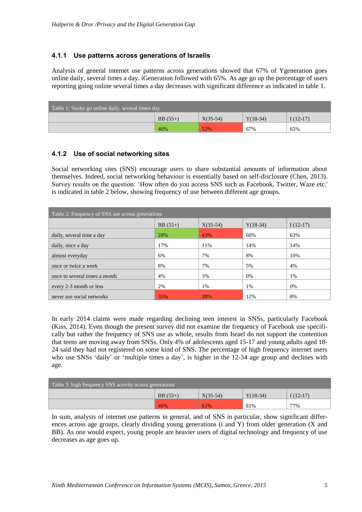#### **4.1.1 Use patterns across generations of Israelis**

Analysis of general internet use patterns across generations showed that 67% of Ygeneration goes online daily, several times a day. iGeneration followed with 65%. As age go up the percentage of users reporting going online several times a day decreases with significant difference as indicated in table 1.

| Table 1: % who go online daily, several times day |           |            |            |             |
|---------------------------------------------------|-----------|------------|------------|-------------|
|                                                   | $BB(55+)$ | $X(35-54)$ | $Y(18-34)$ | I $(12-17)$ |
|                                                   | 40%       | 52%        | 67%        | 65%         |

#### **4.1.2 Use of social networking sites**

Social networking sites (SNS) encourage users to share substantial amounts of information about themselves. Indeed, social networking behaviour is essentially based on self-disclosure (Chen, 2013). Survey results on the question: 'How often do you access SNS such as Facebook, Twitter, Waze etc.' is indicated in table 2 below, showing frequency of use between different age groups.

| Table 2: Frequency of SNS use across generations |                                                     |     |     |     |  |  |
|--------------------------------------------------|-----------------------------------------------------|-----|-----|-----|--|--|
|                                                  | $BB(55+)$<br>$X(35-54)$<br>$Y(18-34)$<br>$I(12-17)$ |     |     |     |  |  |
| daily, several time a day                        | 28%                                                 | 43% | 60% | 63% |  |  |
| daily, once a day                                | 17%                                                 | 11% | 14% | 14% |  |  |
| almost everyday                                  | 6%                                                  | 7%  | 8%  | 10% |  |  |
| once or twice a week                             | 8%                                                  | 7%  | 5%  | 4%  |  |  |
| once to several times a month                    | 4%                                                  | 3%  | 0%  | 1%  |  |  |
| every 2-3 month or less                          | 2%                                                  | 1%  | 1%  | 0%  |  |  |
| never use social networks                        | 35%                                                 | 28% | 12% | 8%  |  |  |

In early 2014 claims were made regarding declining teen interest in SNSs, particularly Facebook (Kiss, 2014). Even though the present survey did not examine the frequency of Facebook use specifically but rather the frequency of SNS use as whole, results from Israel do not support the contention that teens are moving away from SNSs. Only 4% of adolescents aged 15-17 and young adults aged 18- 24 said they had not registered on some kind of SNS. The percentage of high frequency internet users who use SNSs 'daily' or 'multiple times a day', is higher in the 12-34 age group and declines with age.

| Table 3: high frequency $S\overline{\text{NS}}$ activity across generations |           |            |            |            |
|-----------------------------------------------------------------------------|-----------|------------|------------|------------|
|                                                                             | $BB(55+)$ | $X(35-54)$ | $Y(18-34)$ | $I(12-17)$ |
|                                                                             | 46%       | 61%        | 81%        | 77%        |

In sum, analysis of internet use patterns in general, and of SNS in particular, show significant differences across age groups, clearly dividing young generations (i and Y) from older generation (X and BB). As one would expect, young people are heavier users of digital technology and frequency of use decreases as age goes up.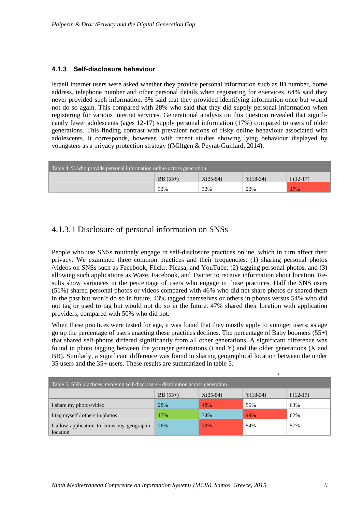#### **4.1.3 Self-disclosure behaviour**

Israeli internet users were asked whether they provide personal information such as ID number, home address, telephone number and other personal details when registering for eServices. 64% said they never provided such information. 6% said that they provided identifying information once but would not do so again. This compared with 28% who said that they did supply personal information when registering for various internet services. Generational analysis on this question revealed that significantly fewer adolescents (ages 12-17) supply personal information (17%) compared to users of older generations. This finding contrast with prevalent notions of risky online behaviour associated with adolescents. It corresponds, however, with recent studies showing lying behaviour displayed by youngsters as a privacy protection strategy ((Miltgen & Peyrat-Guillard, 2014).

| Table 4: % who provide personal information online across generation |                                                     |     |     |     |  |
|----------------------------------------------------------------------|-----------------------------------------------------|-----|-----|-----|--|
|                                                                      | $Y(18-34)$<br>$X(35-54)$<br>$BB(55+)$<br>$I(12-17)$ |     |     |     |  |
|                                                                      | 32%                                                 | 32% | 22% | 17% |  |

### 4.1.3.1 Disclosure of personal information on SNSs

People who use SNSs routinely engage in self-disclosure practices online, which in turn affect their privacy. We examined three common practices and their frequencies: (1) sharing personal photos /videos on SNSs such as Facebook, Flickr, Picasa, and YouTube; (2) tagging personal photos, and (3) allowing such applications as Waze, Facebook, and Twitter to receive information about location. Results show variances in the percentage of users who engage in these practices. Half the SNS users (51%) shared personal photos or videos compared with 46% who did not share photos or shared them in the past but won't do so in future. 43% tagged themselves or others in photos versus 54% who did not tag or used to tag but would not do so in the future. 47% shared their location with application providers, compared with 50% who did not.

When these practices were tested for age, it was found that they mostly apply to younger users: as age go up the percentage of users enacting these practices declines. The percentage of Baby boomers (55+) that shared self-photos differed significantly from all other generations. A significant difference was found in photo tagging between the younger generations (i and Y) and the older generations (X and BB). Similarly, a significant difference was found in sharing geographical location between the under 35 users and the 35+ users. These results are summarized in table 5.

| Table 5: SNS practices involving self-disclosure - distribution across generation |     |     |     |     |
|-----------------------------------------------------------------------------------|-----|-----|-----|-----|
| $i(12-17)$<br>$BB(55+)$<br>$Y(18-34)$<br>$X(35-54)$                               |     |     |     |     |
| I share my photos/video                                                           | 28% | 48% | 56% | 63% |
| I tag myself / others in photos                                                   | 17% | 34% | 49% | 62% |
| I allow application to know my geographic<br>location                             | 26% | 39% | 54% | 57% |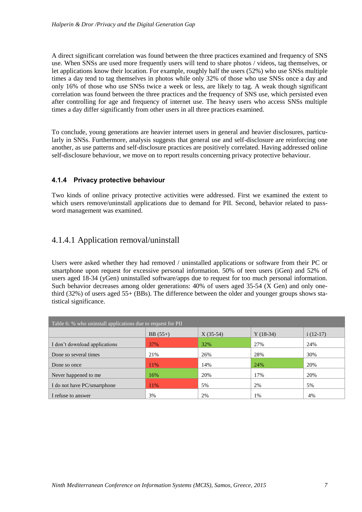A direct significant correlation was found between the three practices examined and frequency of SNS use. When SNSs are used more frequently users will tend to share photos / videos, tag themselves, or let applications know their location. For example, roughly half the users (52%) who use SNSs multiple times a day tend to tag themselves in photos while only 32% of those who use SNSs once a day and only 16% of those who use SNSs twice a week or less, are likely to tag. A weak though significant correlation was found between the three practices and the frequency of SNS use, which persisted even after controlling for age and frequency of internet use. The heavy users who access SNSs multiple times a day differ significantly from other users in all three practices examined.

To conclude, young generations are heavier internet users in general and heavier disclosures, particularly in SNSs. Furthermore, analysis suggests that general use and self-disclosure are reinforcing one another, as use patterns and self-disclosure practices are positively correlated. Having addressed online self-disclosure behaviour, we move on to report results concerning privacy protective behaviour.

#### **4.1.4 Privacy protective behaviour**

Two kinds of online privacy protective activities were addressed. First we examined the extent to which users remove/uninstall applications due to demand for PII. Second, behavior related to password management was examined.

### 4.1.4.1 Application removal/uninstall

Users were asked whether they had removed / uninstalled applications or software from their PC or smartphone upon request for excessive personal information. 50% of teen users (iGen) and 52% of users aged 18-34 (yGen) uninstalled software/apps due to request for too much personal information. Such behavior decreases among older generations: 40% of users aged 35-54 (X Gen) and only onethird (32%) of users aged 55+ (BBs). The difference between the older and younger groups shows statistical significance.

| Table 6: % who uninstall applications due to request for PII |           |            |            |            |  |
|--------------------------------------------------------------|-----------|------------|------------|------------|--|
|                                                              | $BB(55+)$ | $X(35-54)$ | $Y(18-34)$ | $i(12-17)$ |  |
| I don't download applications                                | 37%       | 32%        | 27%        | 24%        |  |
| Done so several times                                        | 21%       | 26%        | 28%        | 30%        |  |
| Done so once                                                 | 11%       | 14%        | 24%        | 20%        |  |
| Never happened to me                                         | 16%       | 20%        | 17%        | 20%        |  |
| I do not have PC/smartphone                                  | 11%       | 5%         | 2%         | 5%         |  |
| I refuse to answer                                           | 3%        | 2%         | 1%         | 4%         |  |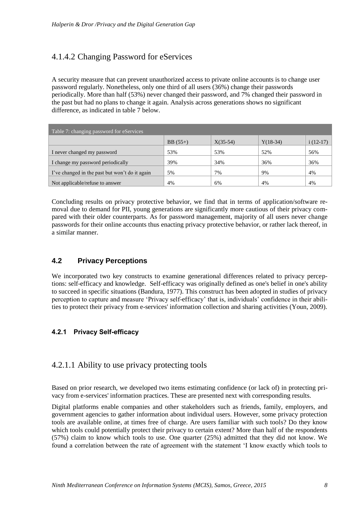# 4.1.4.2 Changing Password for eServices

A security measure that can prevent unauthorized access to private online accounts is to change user password regularly. Nonetheless, only one third of all users (36%) change their passwords periodically. More than half (53%) never changed their password, and 7% changed their password in the past but had no plans to change it again. Analysis across generations shows no significant difference, as indicated in table 7 below.

| Table 7: changing password for eServices       |           |            |            |            |
|------------------------------------------------|-----------|------------|------------|------------|
|                                                | $BB(55+)$ | $X(35-54)$ | $Y(18-34)$ | $i(12-17)$ |
| I never changed my password                    | 53%       | 53%        | 52%        | 56%        |
| I change my password periodically              | 39%       | 34%        | 36%        | 36%        |
| I've changed in the past but won't do it again | 5%        | 7%         | 9%         | 4%         |
| Not applicable/refuse to answer                | 4%        | 6%         | 4%         | 4%         |

Concluding results on privacy protective behavior, we find that in terms of application/software removal due to demand for PII, young generations are significantly more cautious of their privacy compared with their older counterparts. As for password management, majority of all users never change passwords for their online accounts thus enacting privacy protective behavior, or rather lack thereof, in a similar manner.

### **4.2 Privacy Perceptions**

We incorporated two key constructs to examine generational differences related to privacy perceptions: self-efficacy and knowledge. Self-efficacy was originally defined as one's belief in one's ability to succeed in specific situations (Bandura, 1977). This construct has been adopted in studies of privacy perception to capture and measure 'Privacy self-efficacy' that is, individuals' confidence in their abilities to protect their privacy from e-services' information collection and sharing activities (Youn, 2009).

### **4.2.1 Privacy Self-efficacy**

### 4.2.1.1 Ability to use privacy protecting tools

Based on prior research, we developed two items estimating confidence (or lack of) in protecting privacy from e-services' information practices. These are presented next with corresponding results.

Digital platforms enable companies and other stakeholders such as friends, family, employers, and government agencies to gather information about individual users. However, some privacy protection tools are available online, at times free of charge. Are users familiar with such tools? Do they know which tools could potentially protect their privacy to certain extent? More than half of the respondents (57%) claim to know which tools to use. One quarter (25%) admitted that they did not know. We found a correlation between the rate of agreement with the statement 'I know exactly which tools to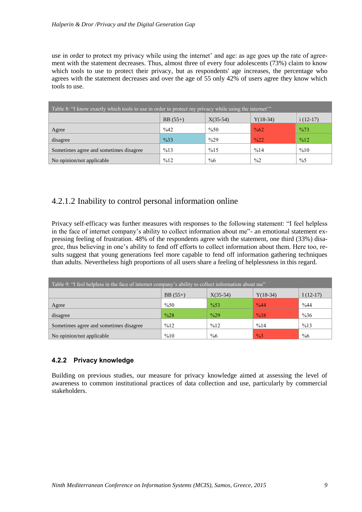use in order to protect my privacy while using the internet' and age: as age goes up the rate of agreement with the statement decreases. Thus, almost three of every four adolescents (73%) claim to know which tools to use to protect their privacy, but as respondents' age increases, the percentage who agrees with the statement decreases and over the age of 55 only 42% of users agree they know which tools to use.

| Table 8: "I know exactly which tools to use in order to protect my privacy while using the internet" |                                                     |                |                 |                 |  |  |  |
|------------------------------------------------------------------------------------------------------|-----------------------------------------------------|----------------|-----------------|-----------------|--|--|--|
|                                                                                                      | $X(35-54)$<br>$BB(55+)$<br>$Y(18-34)$<br>$i(12-17)$ |                |                 |                 |  |  |  |
| Agree                                                                                                | %42                                                 | $\%50$         | $\frac{0}{662}$ | $\frac{9}{673}$ |  |  |  |
| disagree                                                                                             | $\frac{9}{633}$                                     | $\frac{0}{29}$ | $\frac{0}{22}$  | %12             |  |  |  |
| Sometimes agree and sometimes disagree                                                               | %13                                                 | %15            | %14             | %10             |  |  |  |
| No opinion/not applicable                                                                            | %12                                                 | $\%6$          | $\frac{9}{2}$   | $\frac{0}{6}$   |  |  |  |

### 4.2.1.2 Inability to control personal information online

Privacy self-efficacy was further measures with responses to the following statement: "I feel helpless in the face of internet company's ability to collect information about me"- an emotional statement expressing feeling of frustration. 48% of the respondents agree with the statement, one third (33%) disagree, thus believing in one's ability to fend off efforts to collect information about them. Here too, results suggest that young generations feel more capable to fend off information gathering techniques than adults. Nevertheless high proportions of all users share a feeling of helplessness in this regard.

| Table 9: "I feel helpless in the face of internet company's ability to collect information about me" |                |                 |                 |            |
|------------------------------------------------------------------------------------------------------|----------------|-----------------|-----------------|------------|
|                                                                                                      | $BB(55+)$      | $X(35-54)$      | $Y(18-34)$      | $I(12-17)$ |
| Agree                                                                                                | %50            | $\frac{9}{653}$ | $\frac{0}{644}$ | %44        |
| disagree                                                                                             | $\frac{9}{28}$ | $\frac{9}{629}$ | $\frac{9}{638}$ | $\%36$     |
| Sometimes agree and sometimes disagree                                                               | %12            | %12             | %14             | %13        |
| No opinion/not applicable                                                                            | %10            | $\%6$           | $\frac{9}{63}$  | $\%6$      |

#### **4.2.2 Privacy knowledge**

Building on previous studies, our measure for privacy knowledge aimed at assessing the level of awareness to common institutional practices of data collection and use, particularly by commercial stakeholders.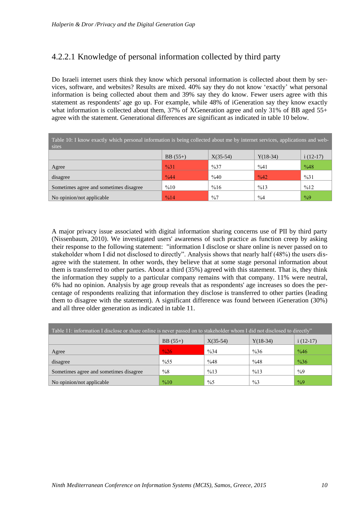# 4.2.2.1 Knowledge of personal information collected by third party

Do Israeli internet users think they know which personal information is collected about them by services, software, and websites? Results are mixed. 40% say they do not know 'exactly' what personal information is being collected about them and 39% say they do know. Fewer users agree with this statement as respondents' age go up. For example, while 48% of iGeneration say they know exactly what information is collected about them, 37% of XGeneration agree and only 31% of BB aged 55+ agree with the statement. Generational differences are significant as indicated in table 10 below.

| Table 10: I know exactly which personal information is being collected about me by internet services, applications and web-<br>sites |                 |                 |                 |               |
|--------------------------------------------------------------------------------------------------------------------------------------|-----------------|-----------------|-----------------|---------------|
|                                                                                                                                      | $BB(55+)$       | $X(35-54)$      | $Y(18-34)$      | $i(12-17)$    |
| Agree                                                                                                                                | $\frac{9}{631}$ | $\frac{9}{637}$ | %41             | %48           |
| disagree                                                                                                                             | $\frac{9}{6}44$ | %40             | $\frac{9}{642}$ | %31           |
| Sometimes agree and sometimes disagree                                                                                               | %10             | %16             | %13             | %12           |
| No opinion/not applicable                                                                                                            | $\frac{9}{6}14$ | $\frac{0}{07}$  | $\frac{9}{6}$   | $\frac{9}{9}$ |

A major privacy issue associated with digital information sharing concerns use of PII by third party (Nissenbaum, 2010). We investigated users' awareness of such practice as function creep by asking their response to the following statement: "information I disclose or share online is never passed on to stakeholder whom I did not disclosed to directly". Analysis shows that nearly half (48%) the users disagree with the statement. In other words, they believe that at some stage personal information about them is transferred to other parties. About a third (35%) agreed with this statement. That is, they think the information they supply to a particular company remains with that company. 11% were neutral, 6% had no opinion. Analysis by age group reveals that as respondents' age increases so does the percentage of respondents realizing that information they disclose is transferred to other parties (leading them to disagree with the statement). A significant difference was found between iGeneration (30%) and all three older generation as indicated in table 11.

| Table 11: information I disclose or share online is never passed on to stakeholder whom I did not disclosed to directly" |                                                     |                 |                 |                 |  |  |
|--------------------------------------------------------------------------------------------------------------------------|-----------------------------------------------------|-----------------|-----------------|-----------------|--|--|
|                                                                                                                          | $i(12-17)$<br>$BB(55+)$<br>$X(35-54)$<br>$Y(18-34)$ |                 |                 |                 |  |  |
| Agree                                                                                                                    | $\frac{9}{26}$                                      | $\frac{9}{6}34$ | $\frac{9}{636}$ | $\frac{9}{646}$ |  |  |
| disagree                                                                                                                 | $\frac{9}{6}$ 55                                    | %48             | %48             | $\frac{9}{636}$ |  |  |
| Sometimes agree and sometimes disagree                                                                                   | $\frac{0}{8}$                                       | %13             | %13             | $\frac{0}{9}$   |  |  |
| No opinion/not applicable                                                                                                | %10                                                 | $\frac{0}{6}$   | $\frac{0}{0}$ 3 | $\frac{9}{9}$   |  |  |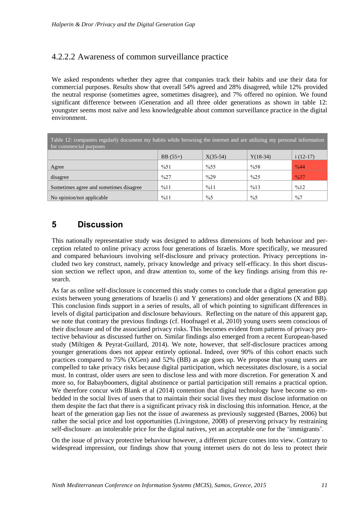### 4.2.2.2 Awareness of common surveillance practice

We asked respondents whether they agree that companies track their habits and use their data for commercial purposes. Results show that overall 54% agreed and 28% disagreed, while 12% provided the neutral response (sometimes agree, sometimes disagree), and 7% offered no opinion. We found significant difference between iGeneration and all three older generations as shown in table 12: youngster seems most naïve and less knowledgeable about common surveillance practice in the digital environment.

| Table 12: companies regularly document my habits while browsing the internet and are utilizing my personal information<br>for commercial purposes |                 |                  |                 |                 |  |
|---------------------------------------------------------------------------------------------------------------------------------------------------|-----------------|------------------|-----------------|-----------------|--|
|                                                                                                                                                   | $BB(55+)$       | $X(35-54)$       | $Y(18-34)$      | $i(12-17)$      |  |
| Agree                                                                                                                                             | %51             | $\frac{9}{6}$ 55 | %58             | $\frac{0}{644}$ |  |
| disagree                                                                                                                                          | $\frac{9}{627}$ | $\frac{0}{29}$   | $\frac{9}{625}$ | $\frac{9}{637}$ |  |
| Sometimes agree and sometimes disagree                                                                                                            | %11             | %11              | %13             | %12             |  |
| No opinion/not applicable                                                                                                                         | %11             | $\frac{9}{6}$    | $\frac{9}{6}$   | $\frac{9}{6}$   |  |

# **5 Discussion**

This nationally representative study was designed to address dimensions of both behaviour and perception related to online privacy across four generations of Israelis. More specifically, we measured and compared behaviours involving self-disclosure and privacy protection. Privacy perceptions included two key construct, namely, privacy knowledge and privacy self-efficacy. In this short discussion section we reflect upon, and draw attention to, some of the key findings arising from this research.

As far as online self-disclosure is concerned this study comes to conclude that a digital generation gap exists between young generations of Israelis (i and Y generations) and older generations (X and BB). This conclusion finds support in a series of results, all of which pointing to significant differences in levels of digital participation and disclosure behaviours. Reflecting on the nature of this apparent gap, we note that contrary the previous findings (cf. Hoofnagel et al, 2010) young users seem conscious of their disclosure and of the associated privacy risks. This becomes evident from patterns of privacy protective behaviour as discussed further on. Similar findings also emerged from a recent European-based study (Miltigen & Peyrat-Guillard, 2014). We note, however, that self-disclosure practices among younger generations does not appear entirely optional. Indeed, over 90% of this cohort enacts such practices compared to 75% (XGen) and 52% (BB) as age goes up. We propose that young users are compelled to take privacy risks because digital participation, which necessitates disclosure, is a social must. In contrast, older users are seen to disclose less and with more discretion. For generation X and more so, for Babayboomers, digital abstinence or partial participation still remains a practical option. We therefore concur with Blank et al (2014) contention that digital technology have become so embedded in the social lives of users that to maintain their social lives they must disclose information on them despite the fact that there is a significant privacy risk in disclosing this information. Hence, at the heart of the generation gap lies not the issue of awareness as previously suggested (Barnes, 2006) but rather the social price and lost opportunities (Livingstone, 2008) of preserving privacy by restraining self-disclosure - an intolerable price for the digital natives, yet an acceptable one for the 'immigrants'.

On the issue of privacy protective behaviour however, a different picture comes into view. Contrary to widespread impression, our findings show that young internet users do not do less to protect their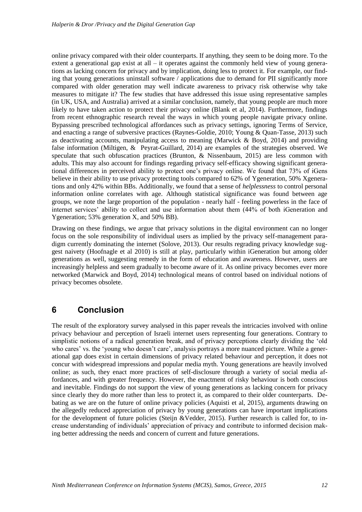online privacy compared with their older counterparts. If anything, they seem to be doing more. To the extent a generational gap exist at all  $-$  it operates against the commonly held view of young generations as lacking concern for privacy and by implication, doing less to protect it. For example, our finding that young generations uninstall software  $\ell$  applications due to demand for PII significantly more compared with older generation may well indicate awareness to privacy risk otherwise why take measures to mitigate it? The few studies that have addressed this issue using representative samples (in UK, USA, and Australia) arrived at a similar conclusion, namely, that young people are much more likely to have taken action to protect their privacy online (Blank et al, 2014). Furthermore, findings from recent ethnographic research reveal the ways in which young people navigate privacy online. Bypassing prescribed technological affordances such as privacy settings, ignoring Terms of Service, and enacting a range of subversive practices (Raynes-Goldie, 2010; Young & Quan-Tasse, 2013) such as deactivating accounts, manipulating access to meaning (Marwick & Boyd, 2014) and providing false information (Miltigen, & Peyrat-Guillard, 2014) are examples of the strategies observed. We speculate that such obfuscation practices (Brunton, & Nissenbaum, 2015) are less common with adults. This may also account for findings regarding privacy self-efficacy showing significant generational differences in perceived ability to protect one's privacy online. We found that 73% of iGens believe in their ability to use privacy protecting tools compared to 62% of Ygeneration, 50% Xgenerations and only 42% within BBs. Additionally, we found that a sense of *helplessness* to control personal information online correlates with age. Although statistical significance was found between age groups, we note the large proportion of the population - nearly half - feeling powerless in the face of internet services' ability to collect and use information about them (44% of both iGeneration and Ygeneration; 53% generation X, and 50% BB).

Drawing on these findings, we argue that privacy solutions in the digital environment can no longer focus on the sole responsibility of individual users as implied by the privacy self-management paradigm currently dominating the internet (Solove, 2013). Our results regrading privacy knowledge suggest naivety (Hoofnagle et al 2010) is still at play, particularly within iGeneration but among older generations as well, suggesting remedy in the form of education and awareness. However, users are increasingly helpless and seem gradually to become aware of it. As online privacy becomes ever more networked (Marwick and Boyd, 2014) technological means of control based on individual notions of privacy becomes obsolete.

### **6 Conclusion**

The result of the exploratory survey analysed in this paper reveals the intricacies involved with online privacy behaviour and perception of Israeli internet users representing four generations. Contrary to simplistic notions of a radical generation break, and of privacy perceptions clearly dividing the 'old who cares' vs. the 'young who doesn't care', analysis portrays a more nuanced picture. While a generational gap does exist in certain dimensions of privacy related behaviour and perception, it does not concur with widespread impressions and popular media myth. Young generations are heavily involved online; as such, they enact more practices of self-disclosure through a variety of social media affordances, and with greater frequency. However, the enactment of risky behaviour is both conscious and inevitable. Findings do not support the view of young generations as lacking concern for privacy since clearly they do more rather than less to protect it, as compared to their older counterparts. Debating as we are on the future of online privacy policies (Aquisti et al, 2015), arguments drawing on the allegedly reduced appreciation of privacy by young generations can have important implications for the development of future policies (Steijn &Vedder, 2015). Further research is called for, to increase understanding of individuals' appreciation of privacy and contribute to informed decision making better addressing the needs and concern of current and future generations.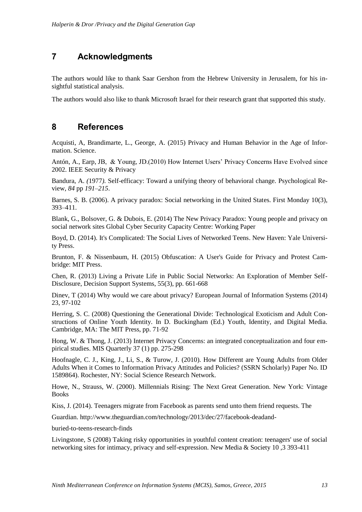### **7 Acknowledgments**

The authors would like to thank Saar Gershon from the Hebrew University in Jerusalem, for his insightful statistical analysis.

The authors would also like to thank Microsoft Israel for their research grant that supported this study.

### **8 References**

Acquisti, A, Brandimarte, L., George, A. (2015) [Privacy and Human Behavior in the Age of Infor](http://www.sciencemag.org/cgi/content/full/347/6221/509?ijkey=R7zkYwoe8MFog&keytype=ref&siteid=sci)[mation.](http://www.sciencemag.org/cgi/content/full/347/6221/509?ijkey=R7zkYwoe8MFog&keytype=ref&siteid=sci) Science.

Antón, A., Earp, JB, & Young, JD.(2010) How Internet Users' Privacy Concerns Have Evolved since 2002. IEEE Security & Privacy

Bandura, A. *(*1977*).* Self-efficacy: Toward a unifying theory of behavioral change*.* Psychological Review, *84* pp *191*–*215*.

Barnes, S. B. (2006). A privacy paradox: Social networking in the United States. First Monday 10(3), 393–411.

Blank, G., Bolsover, G. & Dubois, E. (2014) The New Privacy Paradox: Young people and privacy on social network sites Global Cyber Security Capacity Centre: Working Paper

Boyd, D. (2014). [It's Complicated: The Social Lives of Networked Teens.](http://www.danah.org/itscomplicated/) New Haven: Yale University Press.

Brunton, F. & Nissenbaum, H. (2015) Obfuscation: A User's Guide for Privacy and Protest Cambridge: MIT Press.

Chen, R. (2013) Living a Private Life in Public Social Networks: An Exploration of Member Self-Disclosure, Decision Support Systems, 55(3), pp. 661-668

Dinev, T (2014) Why would we care about privacy? European Journal of Information Systems (2014) 23, 97-102

Herring, S. C. (2008) Questioning the Generational Divide: Technological Exoticism and Adult Constructions of Online Youth Identity. In D. Buckingham (Ed.) Youth, Identity, and Digital Media. Cambridge, MA: The MIT Press, pp. 71-92

Hong, W. & Thong, J. (2013) Internet Privacy Concerns: an integrated conceptualization and four empirical studies. MIS Quarterly 37 (1) pp. 275-298

Hoofnagle, C. J., King, J., Li, S., & Turow, J. (2010). How Different are Young Adults from Older Adults When it Comes to Information Privacy Attitudes and Policies? (SSRN Scholarly) Paper No. ID 1589864). Rochester, NY: Social Science Research Network.

Howe, N., Strauss, W. (2000). Millennials Rising: The Next Great Generation. New York: Vintage Books

Kiss, J. (2014). Teenagers migrate from Facebook as parents send unto them friend requests. The

Guardian. http://www.theguardian.com/technology/2013/dec/27/facebook-deadand-

buried-to-teens-research-finds

Livingstone, S (2008) Taking risky opportunities in youthful content creation: teenagers' use of social networking sites for intimacy, privacy and self-expression. New Media & Society 10 ,3 393-411